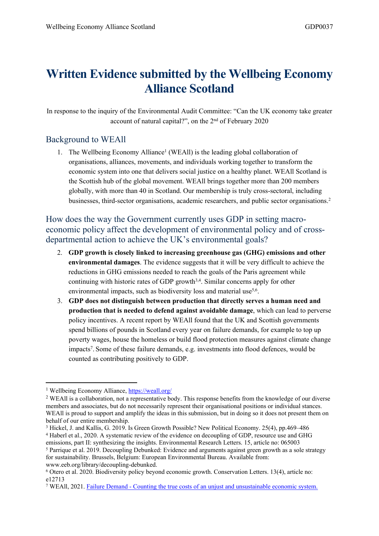## **Written Evidence submitted by the Wellbeing Economy Alliance Scotland**

In response to the inquiry of the Environmental Audit Committee: "Can the UK economy take greater account of natural capital?", on the 2<sup>nd</sup> of February 2020

## Background to WEAll

1. The Wellbeing Economy Alliance<sup>1</sup> (WEAll) is the leading global collaboration of organisations, alliances, movements, and individuals working together to transform the economic system into one that delivers social justice on a healthy planet. WEAll Scotland is the Scottish hub of the global movement. WEAll brings together more than 200 members globally, with more than 40 in Scotland. Our membership is truly cross-sectoral, including businesses, third-sector organisations, academic researchers, and public sector organisations.<sup>2</sup>

How does the way the Government currently uses GDP in setting macroeconomic policy affect the development of environmental policy and of crossdepartmental action to achieve the UK's environmental goals?

- 2. **GDP growth is closely linked to increasing greenhouse gas (GHG) emissions and other environmental damages**. The evidence suggests that it will be very difficult to achieve the reductions in GHG emissions needed to reach the goals of the Paris agreement while continuing with historic rates of GDP growth<sup>3,4</sup>. Similar concerns apply for other environmental impacts, such as biodiversity loss and material use<sup>5,6</sup>.
- 3. **GDP does not distinguish between production that directly serves a human need and production that is needed to defend against avoidable damage**, which can lead to perverse policy incentives. A recent report by WEAll found that the UK and Scottish governments spend billions of pounds in Scotland every year on failure demands, for example to top up poverty wages, house the homeless or build flood protection measures against climate change impacts<sup>7</sup>. Some of these failure demands, e.g. investments into flood defences, would be counted as contributing positively to GDP.

<sup>1</sup> Wellbeing Economy Alliance, <https://weall.org/>

<sup>2</sup> WEAll is a collaboration, not a representative body. This response benefits from the knowledge of our diverse members and associates, but do not necessarily represent their organisational positions or individual stances. WEAll is proud to support and amplify the ideas in this submission, but in doing so it does not present them on behalf of our entire membership.

<sup>3</sup> Hickel, J. and Kallis, G. 2019. Is Green Growth Possible? New Political Economy. 25(4), pp.469–486 <sup>4</sup> Haberl et al., 2020. A systematic review of the evidence on decoupling of GDP, resource use and GHG

emissions, part II: synthesizing the insights. Environmental Research Letters. 15, article no: 065003 <sup>5</sup> Parrique et al. 2019. Decoupling Debunked: Evidence and arguments against green growth as a sole strategy for sustainability. Brussels, Belgium: European Environmental Bureau. Available from: www.eeb.org/library/decoupling-debunked.

<sup>6</sup> Otero et al. 2020. Biodiversity policy beyond economic growth. Conservation Letters. 13(4), article no: e12713

<sup>7</sup> WEAll, 2021. [Failure](https://wellbeingeconomy.org/failuredemand) [Demand](https://wellbeingeconomy.org/failuredemand) [-](https://wellbeingeconomy.org/failuredemand) [Counting](https://wellbeingeconomy.org/failuredemand) [the](https://wellbeingeconomy.org/failuredemand) [true](https://wellbeingeconomy.org/failuredemand) [costs](https://wellbeingeconomy.org/failuredemand) [of](https://wellbeingeconomy.org/failuredemand) [an](https://wellbeingeconomy.org/failuredemand) [unjust](https://wellbeingeconomy.org/failuredemand) [and](https://wellbeingeconomy.org/failuredemand) [unsustainable](https://wellbeingeconomy.org/failuredemand) [economic](https://wellbeingeconomy.org/failuredemand) [system.](https://wellbeingeconomy.org/failuredemand)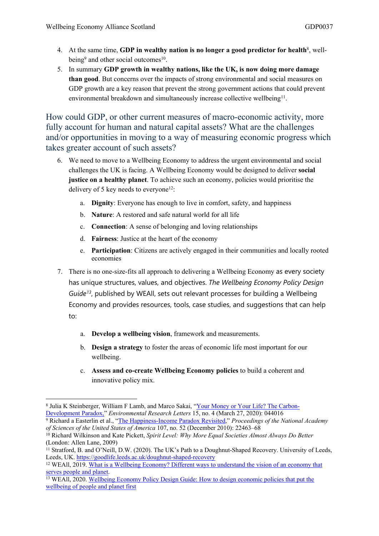- 4. At the same time, **GDP in wealthy nation is no longer a good predictor for health**<sup>8</sup> , wellbeing<sup>9</sup> and other social outcomes<sup>10</sup>.
- 5. In summary **GDP growth in wealthy nations, like the UK, is now doing more damage than good**. But concerns over the impacts of strong environmental and social measures on GDP growth are a key reason that prevent the strong government actions that could prevent environmental breakdown and simultaneously increase collective wellbeing<sup>11</sup>.

How could GDP, or other current measures of macro-economic activity, more fully account for human and natural capital assets? What are the challenges and/or opportunities in moving to a way of measuring economic progress which takes greater account of such assets?

- 6. We need to move to a Wellbeing Economy to address the urgent environmental and social challenges the UK is facing. A Wellbeing Economy would be designed to deliver **social justice on a healthy planet**. To achieve such an economy, policies would prioritise the delivery of 5 key needs to everyone<sup>12</sup>:
	- a. **Dignity**: Everyone has enough to live in comfort, safety, and happiness
	- b. **Nature**: A restored and safe natural world for all life
	- c. **Connection**: A sense of belonging and loving relationships
	- d. **Fairness**: Justice at the heart of the economy
	- e. **Participation**: Citizens are actively engaged in their communities and locally rooted economies
- 7. There is no one-size-fits all approach to delivering a Wellbeing Economy as every society has unique structures, values, and objectives. *The Wellbeing Economy Policy Design Guide<sup>13</sup>* , published by WEAll, sets out relevant processes for building a Wellbeing Economy and provides resources, tools, case studies, and suggestions that can help to:
	- a. **Develop a wellbeing vision**, framework and measurements.
	- b. **Design a strategy** to foster the areas of economic life most important for our wellbeing.
	- c. **Assess and co-create Wellbeing Economy policies** to build a coherent and innovative policy mix.

<sup>&</sup>lt;sup>8</sup> Julia K Steinberger, William F Lamb, and Marco Sakai, "[Your](https://doi.org/10.1088/1748-9326/ab7461.) [Money](https://doi.org/10.1088/1748-9326/ab7461.) [or](https://doi.org/10.1088/1748-9326/ab7461.) Your [Life?](https://doi.org/10.1088/1748-9326/ab7461.) [The](https://doi.org/10.1088/1748-9326/ab7461.) [Carbon-](https://doi.org/10.1088/1748-9326/ab7461.)[Development](https://doi.org/10.1088/1748-9326/ab7461.) [Paradox,"](https://doi.org/10.1088/1748-9326/ab7461.) *Environmental Research Letters* 15, no. 4 (March 27, 2020): 044016

<sup>9</sup> Richard a Easterlin et al., "[The](https://doi.org/10.1073/pnas.1015962107) [Happiness-Income](https://doi.org/10.1073/pnas.1015962107) [Paradox](https://doi.org/10.1073/pnas.1015962107) [Revisited](https://doi.org/10.1073/pnas.1015962107)," *Proceedings of the National Academy of Sciences of the United States of America* 107, no. 52 (December 2010): 22463–68

<sup>10</sup> Richard Wilkinson and Kate Pickett, *Spirit Level: Why More Equal Societies Almost Always Do Better* (London: Allen Lane, 2009)

 $11$  Stratford, B. and O'Neill, D.W. (2020). The UK's Path to a Doughnut-Shaped Recovery. University of Leeds, Leeds, UK. <https://goodlife.leeds.ac.uk/doughnut-shaped-recovery>

<sup>12</sup> WEAll, 2019. [What](https://weall.org/wp-content/uploads/2019/12/A-WE-Is-WEAll-Ideas-Little-Summaries-of-Big-Issues-4-Dec-2019.pdf) [is](https://weall.org/wp-content/uploads/2019/12/A-WE-Is-WEAll-Ideas-Little-Summaries-of-Big-Issues-4-Dec-2019.pdf) [a](https://weall.org/wp-content/uploads/2019/12/A-WE-Is-WEAll-Ideas-Little-Summaries-of-Big-Issues-4-Dec-2019.pdf) [Wellbeing](https://weall.org/wp-content/uploads/2019/12/A-WE-Is-WEAll-Ideas-Little-Summaries-of-Big-Issues-4-Dec-2019.pdf) [Economy?](https://weall.org/wp-content/uploads/2019/12/A-WE-Is-WEAll-Ideas-Little-Summaries-of-Big-Issues-4-Dec-2019.pdf) [Different](https://weall.org/wp-content/uploads/2019/12/A-WE-Is-WEAll-Ideas-Little-Summaries-of-Big-Issues-4-Dec-2019.pdf) [ways](https://weall.org/wp-content/uploads/2019/12/A-WE-Is-WEAll-Ideas-Little-Summaries-of-Big-Issues-4-Dec-2019.pdf) [to](https://weall.org/wp-content/uploads/2019/12/A-WE-Is-WEAll-Ideas-Little-Summaries-of-Big-Issues-4-Dec-2019.pdf) [understand](https://weall.org/wp-content/uploads/2019/12/A-WE-Is-WEAll-Ideas-Little-Summaries-of-Big-Issues-4-Dec-2019.pdf) [the](https://weall.org/wp-content/uploads/2019/12/A-WE-Is-WEAll-Ideas-Little-Summaries-of-Big-Issues-4-Dec-2019.pdf) [vision](https://weall.org/wp-content/uploads/2019/12/A-WE-Is-WEAll-Ideas-Little-Summaries-of-Big-Issues-4-Dec-2019.pdf) [of](https://weall.org/wp-content/uploads/2019/12/A-WE-Is-WEAll-Ideas-Little-Summaries-of-Big-Issues-4-Dec-2019.pdf) [an](https://weall.org/wp-content/uploads/2019/12/A-WE-Is-WEAll-Ideas-Little-Summaries-of-Big-Issues-4-Dec-2019.pdf) [economy](https://weall.org/wp-content/uploads/2019/12/A-WE-Is-WEAll-Ideas-Little-Summaries-of-Big-Issues-4-Dec-2019.pdf) [that](https://weall.org/wp-content/uploads/2019/12/A-WE-Is-WEAll-Ideas-Little-Summaries-of-Big-Issues-4-Dec-2019.pdf) [serves](https://weall.org/wp-content/uploads/2019/12/A-WE-Is-WEAll-Ideas-Little-Summaries-of-Big-Issues-4-Dec-2019.pdf) [people](https://weall.org/wp-content/uploads/2019/12/A-WE-Is-WEAll-Ideas-Little-Summaries-of-Big-Issues-4-Dec-2019.pdf) [and](https://weall.org/wp-content/uploads/2019/12/A-WE-Is-WEAll-Ideas-Little-Summaries-of-Big-Issues-4-Dec-2019.pdf) [planet.](https://weall.org/wp-content/uploads/2019/12/A-WE-Is-WEAll-Ideas-Little-Summaries-of-Big-Issues-4-Dec-2019.pdf)

<sup>&</sup>lt;sup>13</sup> WEAll, 2020. [Wellbeing](https://wellbeingeconomy.org/wp-content/uploads/Wellbeing-Economy-Policy-Design-Guide_Mar17_FINAL.pdf) [Economy](https://wellbeingeconomy.org/wp-content/uploads/Wellbeing-Economy-Policy-Design-Guide_Mar17_FINAL.pdf) [Policy](https://wellbeingeconomy.org/wp-content/uploads/Wellbeing-Economy-Policy-Design-Guide_Mar17_FINAL.pdf) [Design](https://wellbeingeconomy.org/wp-content/uploads/Wellbeing-Economy-Policy-Design-Guide_Mar17_FINAL.pdf) [Guide:](https://wellbeingeconomy.org/wp-content/uploads/Wellbeing-Economy-Policy-Design-Guide_Mar17_FINAL.pdf) [How](https://wellbeingeconomy.org/wp-content/uploads/Wellbeing-Economy-Policy-Design-Guide_Mar17_FINAL.pdf) [to](https://wellbeingeconomy.org/wp-content/uploads/Wellbeing-Economy-Policy-Design-Guide_Mar17_FINAL.pdf) [design](https://wellbeingeconomy.org/wp-content/uploads/Wellbeing-Economy-Policy-Design-Guide_Mar17_FINAL.pdf) [economic](https://wellbeingeconomy.org/wp-content/uploads/Wellbeing-Economy-Policy-Design-Guide_Mar17_FINAL.pdf) [policies](https://wellbeingeconomy.org/wp-content/uploads/Wellbeing-Economy-Policy-Design-Guide_Mar17_FINAL.pdf) [that](https://wellbeingeconomy.org/wp-content/uploads/Wellbeing-Economy-Policy-Design-Guide_Mar17_FINAL.pdf) [put](https://wellbeingeconomy.org/wp-content/uploads/Wellbeing-Economy-Policy-Design-Guide_Mar17_FINAL.pdf) [the](https://wellbeingeconomy.org/wp-content/uploads/Wellbeing-Economy-Policy-Design-Guide_Mar17_FINAL.pdf) [wellbeing](https://wellbeingeconomy.org/wp-content/uploads/Wellbeing-Economy-Policy-Design-Guide_Mar17_FINAL.pdf) [of](https://wellbeingeconomy.org/wp-content/uploads/Wellbeing-Economy-Policy-Design-Guide_Mar17_FINAL.pdf) [people](https://wellbeingeconomy.org/wp-content/uploads/Wellbeing-Economy-Policy-Design-Guide_Mar17_FINAL.pdf) [and](https://wellbeingeconomy.org/wp-content/uploads/Wellbeing-Economy-Policy-Design-Guide_Mar17_FINAL.pdf) [planet](https://wellbeingeconomy.org/wp-content/uploads/Wellbeing-Economy-Policy-Design-Guide_Mar17_FINAL.pdf) [first](https://wellbeingeconomy.org/wp-content/uploads/Wellbeing-Economy-Policy-Design-Guide_Mar17_FINAL.pdf)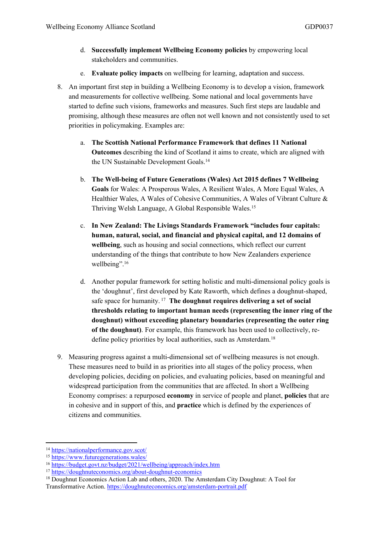- d. **Successfully implement Wellbeing Economy policies** by empowering local stakeholders and communities.
- e. **Evaluate policy impacts** on wellbeing for learning, adaptation and success.
- 8. An important first step in building a Wellbeing Economy is to develop a vision, framework and measurements for collective wellbeing. Some national and local governments have started to define such visions, frameworks and measures. Such first steps are laudable and promising, although these measures are often not well known and not consistently used to set priorities in policymaking. Examples are:
	- a. **The Scottish National Performance Framework that defines 11 National Outcomes** describing the kind of Scotland it aims to create, which are aligned with the UN Sustainable Development Goals.<sup>14</sup>
	- b. **The Well-being of Future Generations (Wales) Act 2015 defines 7 Wellbeing Goals** for Wales: A Prosperous Wales, A Resilient Wales, A More Equal Wales, A Healthier Wales, A Wales of Cohesive Communities, A Wales of Vibrant Culture & Thriving Welsh Language, A Global Responsible Wales.<sup>15</sup>
	- c. **In New Zealand: The Livings Standards Framework "includes four capitals: human, natural, social, and financial and physical capital, and 12 domains of wellbeing**, such as housing and social connections, which reflect our current understanding of the things that contribute to how New Zealanders experience wellbeing".<sup>16</sup>
	- d. Another popular framework for setting holistic and multi-dimensional policy goals is the 'doughnut', first developed by Kate Raworth, which defines a doughnut-shaped, safe space for humanity. <sup>17</sup> **The doughnut requires delivering a set of social thresholds relating to important human needs (representing the inner ring of the doughnut) without exceeding planetary boundaries (representing the outer ring of the doughnut)**. For example, this framework has been used to collectively, redefine policy priorities by local authorities, such as Amsterdam.<sup>18</sup>
- 9. Measuring progress against a multi-dimensional set of wellbeing measures is not enough. These measures need to build in as priorities into all stages of the policy process, when developing policies, deciding on policies, and evaluating policies, based on meaningful and widespread participation from the communities that are affected. In short a Wellbeing Economy comprises: a repurposed **economy** in service of people and planet, **policies** that are in cohesive and in support of this, and **practice** which is defined by the experiences of citizens and communities.

<sup>14</sup> <https://nationalperformance.gov.scot/>

<sup>15</sup> <https://www.futuregenerations.wales/>

<sup>16</sup> <https://budget.govt.nz/budget/2021/wellbeing/approach/index.htm>

<sup>17</sup> <https://doughnuteconomics.org/about-doughnut-economics>

<sup>18</sup> Doughnut Economics Action Lab and others, 2020. The Amsterdam City Doughnut: A Tool for Transformative Action. <https://doughnuteconomics.org/amsterdam-portrait.pdf>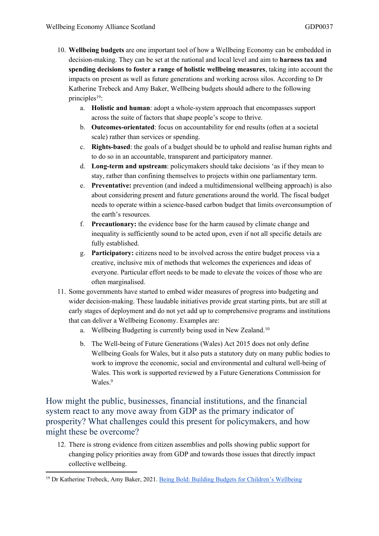- 10. **Wellbeing budgets** are one important tool of how a Wellbeing Economy can be embedded in decision-making. They can be set at the national and local level and aim to **harness tax and spending decisions to foster a range of holistic wellbeing measures**, taking into account the impacts on present as well as future generations and working across silos. According to Dr Katherine Trebeck and Amy Baker, Wellbeing budgets should adhere to the following principles<sup>19</sup>:
	- a. **Holistic and human**: adopt a whole-system approach that encompasses support across the suite of factors that shape people's scope to thrive.
	- b. **Outcomes-orientated**: focus on accountability for end results (often at a societal scale) rather than services or spending.
	- c. **Rights-based**: the goals of a budget should be to uphold and realise human rights and to do so in an accountable, transparent and participatory manner.
	- d. **Long-term and upstream**: policymakers should take decisions 'as if they mean to stay, rather than confining themselves to projects within one parliamentary term.
	- e. **Preventative:** prevention (and indeed a multidimensional wellbeing approach) is also about considering present and future generations around the world. The fiscal budget needs to operate within a science-based carbon budget that limits overconsumption of the earth's resources.
	- f. **Precautionary:** the evidence base for the harm caused by climate change and inequality is sufficiently sound to be acted upon, even if not all specific details are fully established.
	- g. **Participatory:** citizens need to be involved across the entire budget process via a creative, inclusive mix of methods that welcomes the experiences and ideas of everyone. Particular effort needs to be made to elevate the voices of those who are often marginalised.
- 11. Some governments have started to embed wider measures of progress into budgeting and wider decision-making. These laudable initiatives provide great starting pints, but are still at early stages of deployment and do not yet add up to comprehensive programs and institutions that can deliver a Wellbeing Economy. Examples are:
	- a. Wellbeing Budgeting is currently being used in New Zealand.<sup>10</sup>
	- b. The Well-being of Future Generations (Wales) Act 2015 does not only define Wellbeing Goals for Wales, but it also puts a statutory duty on many public bodies to work to improve the economic, social and environmental and cultural well-being of Wales. This work is supported reviewed by a Future Generations Commission for Wales.<sup>9</sup>

How might the public, businesses, financial institutions, and the financial system react to any move away from GDP as the primary indicator of prosperity? What challenges could this present for policymakers, and how might these be overcome?

12. There is strong evidence from citizen assemblies and polls showing public support for changing policy priorities away from GDP and towards those issues that directly impact collective wellbeing.

<sup>19</sup> Dr Katherine Trebeck, Amy Baker, 2021. [Being](https://childreninscotland.org.uk/wp-content/uploads/2021/03/BeingBold-Report.pdf) [Bold:](https://childreninscotland.org.uk/wp-content/uploads/2021/03/BeingBold-Report.pdf) [Building](https://childreninscotland.org.uk/wp-content/uploads/2021/03/BeingBold-Report.pdf) [Budgets](https://childreninscotland.org.uk/wp-content/uploads/2021/03/BeingBold-Report.pdf) [for](https://childreninscotland.org.uk/wp-content/uploads/2021/03/BeingBold-Report.pdf) [Children's](https://childreninscotland.org.uk/wp-content/uploads/2021/03/BeingBold-Report.pdf) [Wellbeing](https://childreninscotland.org.uk/wp-content/uploads/2021/03/BeingBold-Report.pdf)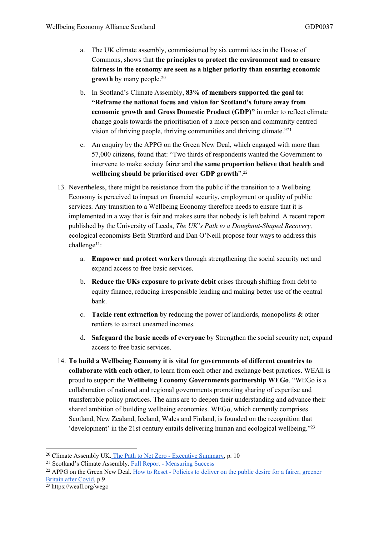- a. The UK climate assembly, commissioned by six committees in the House of Commons, shows that **the principles to protect the environment and to ensure fairness in the economy are seen as a higher priority than ensuring economic growth** by many people.<sup>20</sup>
- b. In Scotland's Climate Assembly, **83% of members supported the goal to: "Reframe the national focus and vision for Scotland's future away from economic growth and Gross Domestic Product (GDP)"** in order to reflect climate change goals towards the prioritisation of a more person and community centred vision of thriving people, thriving communities and thriving climate."<sup>21</sup>
- c. An enquiry by the APPG on the Green New Deal, which engaged with more than 57,000 citizens, found that: "Two thirds of respondents wanted the Government to intervene to make society fairer and **the same proportion believe that health and wellbeing should be prioritised over GDP growth**".<sup>22</sup>
- 13. Nevertheless, there might be resistance from the public if the transition to a Wellbeing Economy is perceived to impact on financial security, employment or quality of public services. Any transition to a Wellbeing Economy therefore needs to ensure that it is implemented in a way that is fair and makes sure that nobody is left behind. A recent report published by the University of Leeds, *The UK's Path to a Doughnut-Shaped Recovery,* ecological economists Beth Stratford and Dan O'Neill propose four ways to address this challenge<sup>11</sup>:
	- a. **Empower and protect workers** through strengthening the social security net and expand access to free basic services.
	- b. **Reduce the UKs exposure to private debit** crises through shifting from debt to equity finance, reducing irresponsible lending and making better use of the central bank.
	- c. **Tackle rent extraction** by reducing the power of landlords, monopolists & other rentiers to extract unearned incomes.
	- d. **Safeguard the basic needs of everyone** by Strengthen the social security net; expand access to free basic services.
- 14. **To build a Wellbeing Economy it is vital for governments of different countries to collaborate with each other**, to learn from each other and exchange best practices. WEAll is proud to support the **Wellbeing Economy Governments partnership WEGo**. "WEGo is a collaboration of national and regional governments promoting sharing of expertise and transferrable policy practices. The aims are to deepen their understanding and advance their shared ambition of building wellbeing economies. WEGo, which currently comprises Scotland, New Zealand, Iceland, Wales and Finland, is founded on the recognition that 'development' in the 21st century entails delivering human and ecological wellbeing."<sup>23</sup>

<sup>&</sup>lt;sup>20</sup> Climate Assembly UK. [The](https://www.climateassembly.uk/report/read/final-report-exec-summary.pdf) [Path](https://www.climateassembly.uk/report/read/final-report-exec-summary.pdf) [to](https://www.climateassembly.uk/report/read/final-report-exec-summary.pdf) [Net](https://www.climateassembly.uk/report/read/final-report-exec-summary.pdf) [Zero](https://www.climateassembly.uk/report/read/final-report-exec-summary.pdf) [-](https://www.climateassembly.uk/report/read/final-report-exec-summary.pdf) [Executive](https://www.climateassembly.uk/report/read/final-report-exec-summary.pdf) [Summary,](https://www.climateassembly.uk/report/read/final-report-exec-summary.pdf) p. 10

<sup>21</sup> Scotland's Climate Assembly. [Full](https://www.climateassembly.scot/full-report/measuring-success) [Report](https://www.climateassembly.scot/full-report/measuring-success) [-](https://www.climateassembly.scot/full-report/measuring-success) [Measuring](https://www.climateassembly.scot/full-report/measuring-success) [Success](https://www.climateassembly.scot/full-report/measuring-success)

<sup>&</sup>lt;sup>22</sup> APPG on the Green New Deal. [How](https://reset-uk.org/static/HowToResetReport-cee340c5dc0708198990294843c4ee28.pdf) [to](https://reset-uk.org/static/HowToResetReport-cee340c5dc0708198990294843c4ee28.pdf) [Reset](https://reset-uk.org/static/HowToResetReport-cee340c5dc0708198990294843c4ee28.pdf) [-](https://reset-uk.org/static/HowToResetReport-cee340c5dc0708198990294843c4ee28.pdf) [Policies](https://reset-uk.org/static/HowToResetReport-cee340c5dc0708198990294843c4ee28.pdf) to [deliver](https://reset-uk.org/static/HowToResetReport-cee340c5dc0708198990294843c4ee28.pdf) [on](https://reset-uk.org/static/HowToResetReport-cee340c5dc0708198990294843c4ee28.pdf) [the](https://reset-uk.org/static/HowToResetReport-cee340c5dc0708198990294843c4ee28.pdf) [public](https://reset-uk.org/static/HowToResetReport-cee340c5dc0708198990294843c4ee28.pdf) [desire](https://reset-uk.org/static/HowToResetReport-cee340c5dc0708198990294843c4ee28.pdf) [for](https://reset-uk.org/static/HowToResetReport-cee340c5dc0708198990294843c4ee28.pdf) [a](https://reset-uk.org/static/HowToResetReport-cee340c5dc0708198990294843c4ee28.pdf) [fairer,](https://reset-uk.org/static/HowToResetReport-cee340c5dc0708198990294843c4ee28.pdf) [greener](https://reset-uk.org/static/HowToResetReport-cee340c5dc0708198990294843c4ee28.pdf) [Britain](https://reset-uk.org/static/HowToResetReport-cee340c5dc0708198990294843c4ee28.pdf) [after](https://reset-uk.org/static/HowToResetReport-cee340c5dc0708198990294843c4ee28.pdf) [Covid,](https://reset-uk.org/static/HowToResetReport-cee340c5dc0708198990294843c4ee28.pdf) p.9

<sup>23</sup> https://weall.org/wego